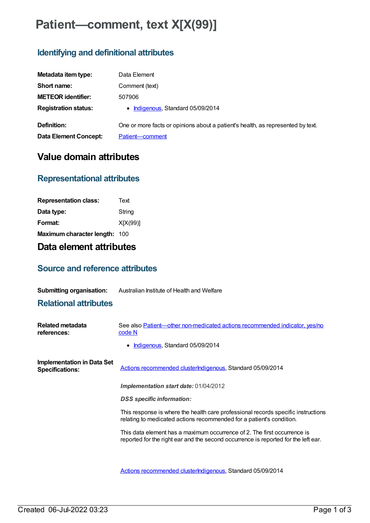# **Patient—comment, text X[X(99)]**

## **Identifying and definitional attributes**

| Metadata item type:         | Data Element                                                                    |
|-----------------------------|---------------------------------------------------------------------------------|
| Short name:                 | Comment (text)                                                                  |
| <b>METEOR identifier:</b>   | 507906                                                                          |
| <b>Registration status:</b> | • Indigenous, Standard 05/09/2014                                               |
| Definition:                 | One or more facts or opinions about a patient's health, as represented by text. |
| Data Element Concept:       | Patient-comment                                                                 |

# **Value domain attributes**

### **Representational attributes**

| <b>Representation class:</b>  | Text     |
|-------------------------------|----------|
| Data type:                    | String   |
| Format:                       | X[X(99)] |
| Maximum character length: 100 |          |

# **Data element attributes**

### **Source and reference attributes**

| <b>Submitting organisation:</b><br>Australian Institute of Health and Welfare |
|-------------------------------------------------------------------------------|
|-------------------------------------------------------------------------------|

### **Relational attributes**

| Related metadata<br>references:                             | See also Patient-other non-medicated actions recommended indicator, yes/no<br>code N                                                                           |
|-------------------------------------------------------------|----------------------------------------------------------------------------------------------------------------------------------------------------------------|
|                                                             | Indigenous, Standard 05/09/2014<br>$\bullet$                                                                                                                   |
| <b>Implementation in Data Set</b><br><b>Specifications:</b> | Actions recommended clusterIndigenous, Standard 05/09/2014                                                                                                     |
|                                                             | <b>Implementation start date: 01/04/2012</b>                                                                                                                   |
|                                                             | <b>DSS</b> specific information:                                                                                                                               |
|                                                             | This response is where the health care professional records specific instructions<br>relating to medicated actions recommended for a patient's condition.      |
|                                                             | This data element has a maximum occurrence of 2. The first occurrence is<br>reported for the right ear and the second occurrence is reported for the left ear. |
|                                                             |                                                                                                                                                                |

Actions [recommended](https://meteor.aihw.gov.au/content/534101) cluste[rIndigenous](https://meteor.aihw.gov.au/RegistrationAuthority/6), Standard 05/09/2014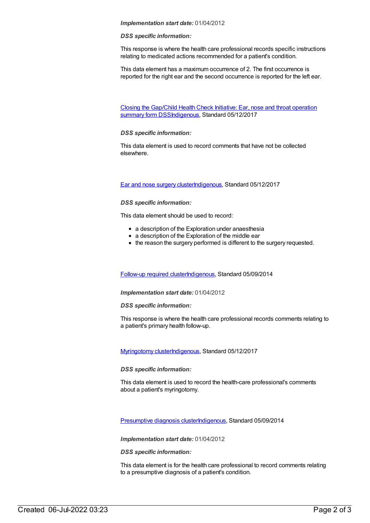#### *Implementation start date:* 01/04/2012

#### *DSS specific information:*

This response is where the health care professional records specific instructions relating to medicated actions recommended for a patient's condition.

This data element has a maximum occurrence of 2. The first occurrence is reported for the right ear and the second occurrence is reported for the left ear.

Closing the Gap/Child Health Check Initiative: Ear, nose and throat operation summary form [DSSIndigenous,](https://meteor.aihw.gov.au/content/507516) Standard 05/12/2017

#### *DSS specific information:*

This data element is used to record comments that have not be collected elsewhere.

Ear and nose [surgery](https://meteor.aihw.gov.au/content/567979) cluste[rIndigenous](https://meteor.aihw.gov.au/RegistrationAuthority/6), Standard 05/12/2017

#### *DSS specific information:*

This data element should be used to record:

- a description of the Exploration under anaesthesia
- a description of the Exploration of the middle ear
- the reason the surgery performed is different to the surgery requested.

[Follow-up](https://meteor.aihw.gov.au/content/534103) required cluste[rIndigenous,](https://meteor.aihw.gov.au/RegistrationAuthority/6) Standard 05/09/2014

#### *Implementation start date:* 01/04/2012

#### *DSS specific information:*

This response is where the health care professional records comments relating to a patient's primary health follow-up.

[Myringotomy](https://meteor.aihw.gov.au/content/568006) cluste[rIndigenous](https://meteor.aihw.gov.au/RegistrationAuthority/6), Standard 05/12/2017

*DSS specific information:*

This data element is used to record the health-care professional's comments about a patient's myringotomy.

[Presumptive](https://meteor.aihw.gov.au/content/508107) diagnosis cluste[rIndigenous,](https://meteor.aihw.gov.au/RegistrationAuthority/6) Standard 05/09/2014

*Implementation start date:* 01/04/2012

*DSS specific information:*

This data element is for the health care professional to record comments relating to a presumptive diagnosis of a patient's condition.